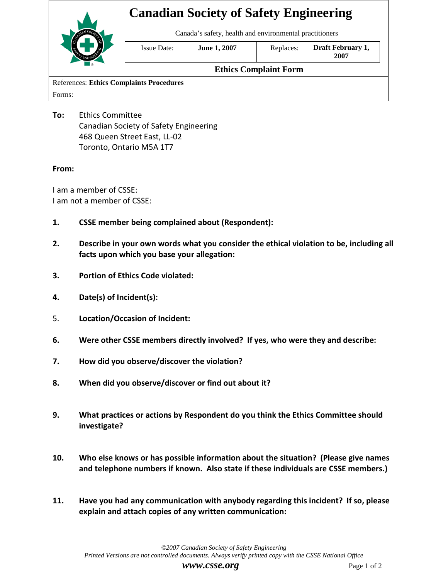## **Canadian Society of Safety Engineering**

Canada's safety, health and environmental practitioners



Issue Date: **June 1, 2007** Replaces: **Draft February 1, 2007**

## **Ethics Complaint Form**

References: **Ethics Complaints Procedures** Forms:

**To:** Ethics Committee Canadian Society of Safety Engineering 468 Queen Street East, LL-02 Toronto, Ontario M5A 1T7

## **From:**

I am a member of CSSE: I am not a member of CSSE:

- **1. CSSE member being complained about (Respondent):**
- **2. Describe in your own words what you consider the ethical violation to be, including all facts upon which you base your allegation:**
- **3. Portion of Ethics Code violated:**
- **4. Date(s) of Incident(s):**
- 5. **Location/Occasion of Incident:**
- **6. Were other CSSE members directly involved? If yes, who were they and describe:**
- **7. How did you observe/discover the violation?**
- **8. When did you observe/discover or find out about it?**
- **9. What practices or actions by Respondent do you think the Ethics Committee should investigate?**
- **10. Who else knows or has possible information about the situation? (Please give names and telephone numbers if known. Also state if these individuals are CSSE members.)**
- **11. Have you had any communication with anybody regarding this incident? If so, please explain and attach copies of any written communication:**